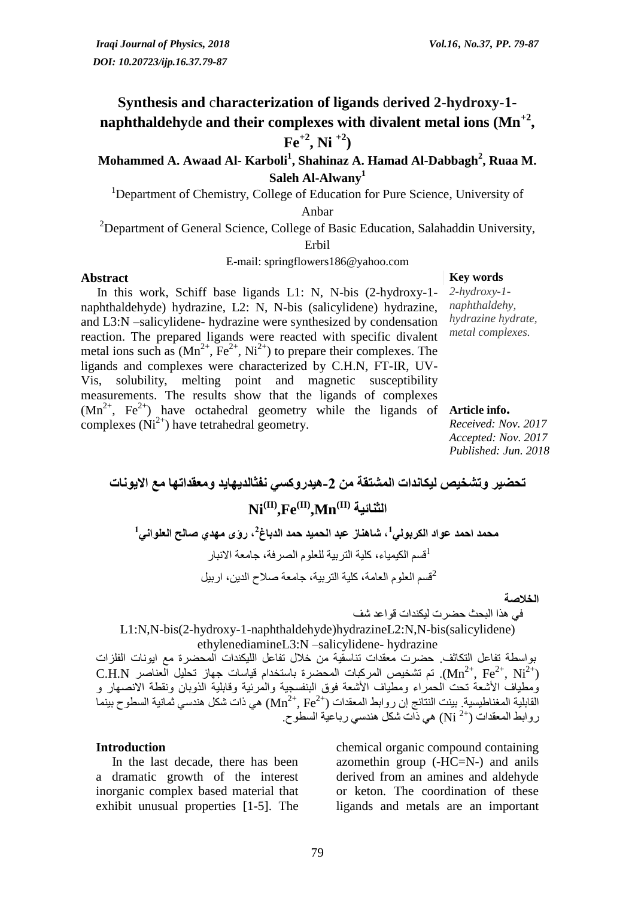# **Synthesis and** c**haracterization of ligands** d**erived 2-hydroxy-1 naphthaldehy**d**e and their complexes with divalent metal ions (Mn+2 ,**   $\mathbf{F}e^{+2}$ , Ni<sup>+2</sup>)

## **Mohammed A. Awaad Al- Karboli<sup>1</sup> , Shahinaz A. Hamad Al-Dabbagh<sup>2</sup> , Ruaa M. Saleh Al-Alwany<sup>1</sup>**

<sup>1</sup>Department of Chemistry, College of Education for Pure Science, University of

Anbar

<sup>2</sup>Department of General Science, College of Basic Education, Salahaddin University,

Erbil

E-mail: springflowers186@yahoo.com

#### **Abstract Key words**

 In this work, Schiff base ligands L1: N, N-bis (2-hydroxy-1 naphthaldehyde) hydrazine, L2: N, N-bis (salicylidene) hydrazine, and L3:N –salicylidene- hydrazine were synthesized by condensation reaction. The prepared ligands were reacted with specific divalent metal ions such as  $(Mn^{2+}, Fe^{2+}, Ni^{2+})$  to prepare their complexes. The ligands and complexes were characterized by C.H.N, FT-IR, UV-Vis, solubility, melting point and magnetic susceptibility measurements. The results show that the ligands of complexes  $(Mn^{2+}$ ,  $Fe^{2+})$  have octahedral geometry while the ligands of **Article info.** complexes  $(Ni^{2+})$  have tetrahedral geometry.

*2-hydroxy-1 naphthaldehy, hydrazine hydrate, metal complexes.*

*Received: Nov. 2017 Accepted: Nov. 2017 Published: Jun. 2018*

**تحضير وتشخيص ليكانذات المشتقة من -2هيذروكسي نفثالذيهايذ ومعقذاتها مع االيىنات Ni الثنائية) II),Fe(II),Mn(II)**

**1 محمذ احمذ عىاد الكربىلي , شاهناز عبذ الحميذ حمذ الذباغ 2 , رؤي مهذي صالح العلىاني 1** <sup>1</sup>قسم الكيمياء، كلية التربية للعلوم الصرفة، جامعة الانبار <sup>2</sup>قسم العلوم العامة، كلية التربية، جامعة صلاح الدين، اربيل

**الخالصة**

في هرا البحث حضست ليكندات قىاعد شف

L1:N,N-bis(2-hydroxy-1-naphthaldehyde)hydrazineL2:N,N-bis(salicylidene) ethylenediamineL3:N –salicylidene- hydrazine

بواسطة تفاعل التكاثف. حضرت معقدات تناسقية من خلال تفاعل الليكندات المحضرة مع ايونات الفلزات  $\rm C.H.N$  . حَم تشخيص المركبات المحضرة باستخدام قياسات جهاز تحليل العناصر  $\rm Mn^{2+},\rm Fe^{2+},\rm Ni^{2+})$ وُمطياف الأشعة تحت الحمراء ومطياف الأشعة فوق البنفسجية والمرئية وقابلية الذوبان ونقطة الانصهار و ( القابلية المغناطيسية بينت النتائج إن ر وابط المعقدات ( $\rm{Mn}^{2+}$  ,  $\rm{Fe}^{2+}$ ) هي ذات شكل هندسي ثمانية السطو ح بينما روابط المعقدات (\*2 Ni) هي ذات شكل هندسي رباعية السطوح.

#### **Introduction**

 In the last decade, there has been a dramatic growth of the interest inorganic complex based material that exhibit unusual properties [1-5]. The

chemical organic compound containing azomethin group (-HC=N-) and anils derived from an amines and aldehyde or keton. The coordination of these ligands and metals are an important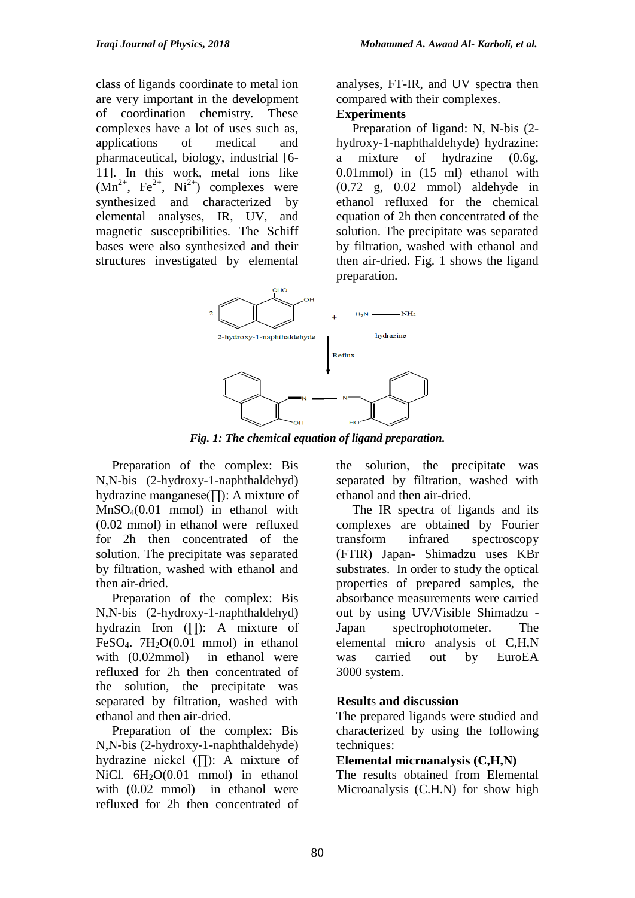class of ligands coordinate to metal ion are very important in the development of coordination chemistry. These complexes have a lot of uses such as, applications of medical and pharmaceutical, biology, industrial [6- 11]. In this work, metal ions like  $(Mn^{2+}, \text{Fe}^{2+}, \text{Ni}^{2+})$  complexes were synthesized and characterized by elemental analyses, IR, UV, and magnetic susceptibilities. The Schiff bases were also synthesized and their structures investigated by elemental analyses, FT-IR, and UV spectra then compared with their complexes.

### **Experiments**

 Preparation of ligand: N, N-bis (2 hydroxy-1-naphthaldehyde) hydrazine: a mixture of hydrazine (0.6g, 0.01mmol) in (15 ml) ethanol with (0.72 g, 0.02 mmol) aldehyde in ethanol refluxed for the chemical equation of 2h then concentrated of the solution. The precipitate was separated by filtration, washed with ethanol and then air-dried. Fig. 1 shows the ligand preparation.



*Fig. 1: The chemical equation of ligand preparation.*

 Preparation of the complex: Bis N,N-bis (2-hydroxy-1-naphthaldehyd) hydrazine manganese(∏): A mixture of MnSO4(0.01 mmol) in ethanol with (0.02 mmol) in ethanol were refluxed for 2h then concentrated of the solution. The precipitate was separated by filtration, washed with ethanol and then air-dried.

 Preparation of the complex: Bis N,N-bis (2-hydroxy-1-naphthaldehyd) hydrazin Iron (∏): A mixture of FeSO<sub>4</sub>. 7H<sub>2</sub>O(0.01 mmol) in ethanol with (0.02mmol) in ethanol were refluxed for 2h then concentrated of the solution, the precipitate was separated by filtration, washed with ethanol and then air-dried.

 Preparation of the complex: Bis N,N-bis (2-hydroxy-1-naphthaldehyde) hydrazine nickel (∏): A mixture of NiCl. 6H<sub>2</sub>O(0.01 mmol) in ethanol with (0.02 mmol) in ethanol were refluxed for 2h then concentrated of the solution, the precipitate was separated by filtration, washed with ethanol and then air-dried.

 The IR spectra of ligands and its complexes are obtained by Fourier transform infrared spectroscopy (FTIR) Japan- Shimadzu uses KBr substrates. In order to study the optical properties of prepared samples, the absorbance measurements were carried out by using UV/Visible Shimadzu - Japan spectrophotometer. The elemental micro analysis of C,H,N was carried out by EuroEA 3000 system.

## **Result**s **and discussion**

The prepared ligands were studied and characterized by using the following techniques:

### **Elemental microanalysis (C,H,N)**

The results obtained from Elemental Microanalysis (C.H.N) for show high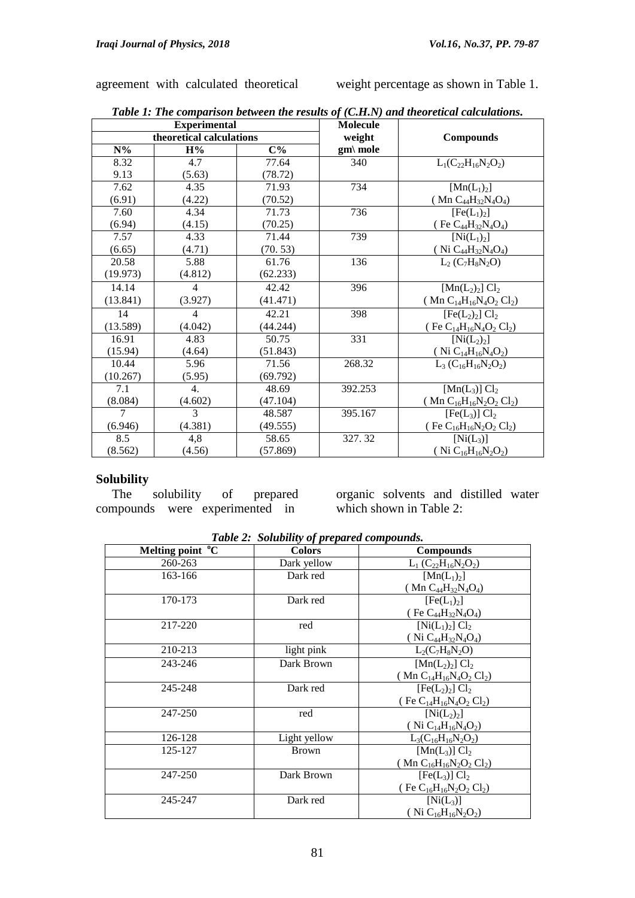agreement with calculated theoretical weight percentage as shown in Table 1.

| rww 1: The comparison between the results of (Cirility) and theoretical calculations.<br><b>Experimental</b> |                |          | <b>Molecule</b>  |                                                                                     |  |
|--------------------------------------------------------------------------------------------------------------|----------------|----------|------------------|-------------------------------------------------------------------------------------|--|
| theoretical calculations                                                                                     |                | weight   | <b>Compounds</b> |                                                                                     |  |
| $N\%$                                                                                                        | H%             | $C\%$    | $gm\$ mole       |                                                                                     |  |
| 8.32                                                                                                         | 4.7            | 77.64    | 340              | $L_1(C_{22}H_{16}N_2O_2)$                                                           |  |
| 9.13                                                                                                         | (5.63)         | (78.72)  |                  |                                                                                     |  |
| 7.62                                                                                                         | 4.35           | 71.93    | 734              | $[{\rm Mn}(L_1)_2]$                                                                 |  |
| (6.91)                                                                                                       | (4.22)         | (70.52)  |                  | ( $Mn C_{44}H_{32}N_4O_4$ )                                                         |  |
| 7.60                                                                                                         | 4.34           | 71.73    | 736              | [Fe(L <sub>1</sub> ) <sub>2</sub> ]                                                 |  |
| (6.94)                                                                                                       | (4.15)         | (70.25)  |                  | (Fe $C_{44}H_{32}N_4O_4$ )                                                          |  |
| 7.57                                                                                                         | 4.33           | 71.44    | 739              | $[Ni(L_1)_2]$                                                                       |  |
| (6.65)                                                                                                       | (4.71)         | (70.53)  |                  | (Ni $C_{44}H_{32}N_4O_4$ )                                                          |  |
| 20.58                                                                                                        | 5.88           | 61.76    | 136              | $L_2(C_7H_8N_2O)$                                                                   |  |
| (19.973)                                                                                                     | (4.812)        | (62.233) |                  |                                                                                     |  |
| 14.14                                                                                                        | $\overline{4}$ | 42.42    | 396              | $[{\rm Mn}(L_2)_2]$ $Cl_2$                                                          |  |
| (13.841)                                                                                                     | (3.927)        | (41.471) |                  | (Mn $C_{14}H_{16}N_4O_2Cl_2$ )                                                      |  |
| 14                                                                                                           | $\overline{4}$ | 42.21    | 398              | $[Fe(L2)2] Cl2$                                                                     |  |
| (13.589)                                                                                                     | (4.042)        | (44.244) |                  | (Fe $C_{14}H_{16}N_4O_2Cl_2$ )                                                      |  |
| 16.91                                                                                                        | 4.83           | 50.75    | 331              | $[Ni(L_2)_2]$                                                                       |  |
| (15.94)                                                                                                      | (4.64)         | (51.843) |                  | (Ni $C_{14}H_{16}N_4O_2$ )                                                          |  |
| 10.44                                                                                                        | 5.96           | 71.56    | 268.32           | $L_3(C_{16}H_{16}N_2O_2)$                                                           |  |
| (10.267)                                                                                                     | (5.95)         | (69.792) |                  |                                                                                     |  |
| 7.1                                                                                                          | 4.             | 48.69    | 392.253          | [ $Mn(L_3)$ ] $Cl_2$                                                                |  |
| (8.084)                                                                                                      | (4.602)        | (47.104) |                  | (Mn C <sub>16</sub> H <sub>16</sub> N <sub>2</sub> O <sub>2</sub> Cl <sub>2</sub> ) |  |
| 7                                                                                                            | 3              | 48.587   | 395.167          | [Fe(L <sub>3</sub> )] Cl <sub>2</sub>                                               |  |
| (6.946)                                                                                                      | (4.381)        | (49.555) |                  | (Fe $C_{16}H_{16}N_2O_2Cl_2$ )                                                      |  |
| 8.5                                                                                                          | 4,8            | 58.65    | 327.32           | $[Ni(L_3)]$                                                                         |  |
| (8.562)                                                                                                      | (4.56)         | (57.869) |                  | (Ni C <sub>16</sub> H <sub>16</sub> N <sub>2</sub> O <sub>2</sub> )                 |  |

*Table 1: The comparison between the results of (C.H.N) and theoretical calculations.*

### **Solubility**

 The solubility of prepared compounds were experimented in

organic solvents and distilled water which shown in Table 2:

| Melting point <sup>o</sup> C | <b>Colors</b> | <b>Compounds</b>                                                                    |
|------------------------------|---------------|-------------------------------------------------------------------------------------|
| 260-263                      | Dark yellow   | $L_1(C_{22}H_{16}N_2O_2)$                                                           |
| 163-166                      | Dark red      | $[Mn(L_1)_2]$                                                                       |
|                              |               | (Mn $C_{44}H_{32}N_4O_4$ )                                                          |
| 170-173                      | Dark red      | [Fe(L <sub>1</sub> ) <sub>2</sub> ]                                                 |
|                              |               | (Fe $C_{44}H_{32}N_4O_4$ )                                                          |
| 217-220                      | red           | $[Ni(L_1)_2]$ Cl <sub>2</sub>                                                       |
|                              |               | (Ni $C_{44}H_{32}N_4O_4$ )                                                          |
| 210-213                      | light pink    | $L_2(C_7H_8N_2O)$                                                                   |
| 243-246                      | Dark Brown    | $[Mn(L2)2] Cl2$                                                                     |
|                              |               | (Mn $C_{14}H_{16}N_4O_2Cl_2$ )                                                      |
| 245-248                      | Dark red      | $[Fe(L2)2] Cl2$                                                                     |
|                              |               | (Fe $C_{14}H_{16}N_4O_2Cl_2$ )                                                      |
| 247-250                      | red           | $[Ni(L_2)_2]$                                                                       |
|                              |               | (Ni $C_{14}H_{16}N_4O_2$ )                                                          |
| 126-128                      | Light yellow  | $L_3(C_{16}H_{16}N_2O_2)$                                                           |
| 125-127                      | <b>Brown</b>  | $[Mn(L_3)]$ $Cl_2$                                                                  |
|                              |               | (Mn $C_{16}H_{16}N_2O_2Cl_2$ )                                                      |
| 247-250                      | Dark Brown    | $[Fe(L_3)] Cl_2$                                                                    |
|                              |               | (Fe C <sub>16</sub> H <sub>16</sub> N <sub>2</sub> O <sub>2</sub> Cl <sub>2</sub> ) |
| 245-247                      | Dark red      | $[Ni(L_3)]$                                                                         |
|                              |               | (Ni C <sub>16</sub> H <sub>16</sub> N <sub>2</sub> O <sub>2</sub> )                 |

*Table 2: Solubility of prepared compounds.*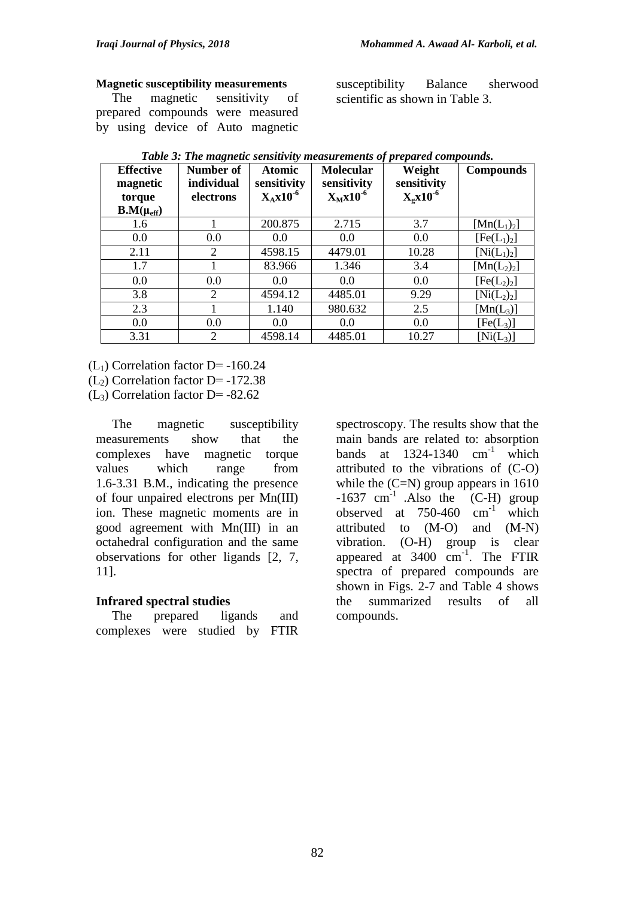#### **Magnetic susceptibility measurements**

 The magnetic sensitivity of prepared compounds were measured by using device of Auto magnetic susceptibility Balance sherwood scientific as shown in Table 3.

| <b>Effective</b><br>magnetic<br>torque<br>$B.M(\mu_{eff})$ | Number of<br>individual<br>electrons | <b>Atomic</b><br>sensitivity<br>$X_Ax10^{-6}$ | <b>Molecular</b><br>sensitivity<br>$X_Mx10^{-6}$ | Weight<br>sensitivity<br>$X_{\rm g}x10^{-6}$ | <b>Compounds</b>                    |
|------------------------------------------------------------|--------------------------------------|-----------------------------------------------|--------------------------------------------------|----------------------------------------------|-------------------------------------|
| 1.6                                                        |                                      | 200.875                                       | 2.715                                            | 3.7                                          | $[Mn(L_1)_2]$                       |
| 0.0                                                        | 0.0                                  | 0.0                                           | 0.0                                              | 0.0                                          | [Fe(L <sub>1</sub> ) <sub>2</sub> ] |
| 2.11                                                       | $\overline{2}$                       | 4598.15                                       | 4479.01                                          | 10.28                                        | $[Ni(L_1)_2]$                       |
| 1.7                                                        |                                      | 83.966                                        | 1.346                                            | 3.4                                          | $[{\rm Mn}(L_2)_2]$                 |
| 0.0                                                        | 0.0                                  | 0.0                                           | 0.0                                              | 0.0                                          | [Fe(L <sub>2</sub> ) <sub>2</sub> ] |
| 3.8                                                        | 2                                    | 4594.12                                       | 4485.01                                          | 9.29                                         | $[Ni(L_2)_2]$                       |
| 2.3                                                        |                                      | 1.140                                         | 980.632                                          | 2.5                                          | $[Mn(L_3)]$                         |
| 0.0                                                        | 0.0                                  | 0.0                                           | 0.0                                              | 0.0                                          | $[Fe(L_3)]$                         |
| 3.31                                                       | 2                                    | 4598.14                                       | 4485.01                                          | 10.27                                        | $[Ni(L_3)]$                         |

*Table 3: The magnetic sensitivity measurements of prepared compounds.*

 $(L<sub>1</sub>)$  Correlation factor D= -160.24

 $(L<sub>2</sub>)$  Correlation factor D= -172.38

 $(L<sub>3</sub>)$  Correlation factor D=  $-82.62$ 

 The magnetic susceptibility measurements show that the complexes have magnetic torque values which range from 1.6-3.31 B.M., indicating the presence of four unpaired electrons per Mn(III) ion. These magnetic moments are in good agreement with Mn(III) in an octahedral configuration and the same observations for other ligands [2, 7, 11].

### **Infrared spectral studies**

 The prepared ligands and complexes were studied by FTIR

spectroscopy. The results show that the main bands are related to: absorption bands at  $1324-1340$  cm<sup>-1</sup> which attributed to the vibrations of (C-O) while the  $(C=N)$  group appears in 1610  $-1637$  cm<sup>-1</sup> .Also the (C-H) group observed at  $750-460$  cm<sup>-1</sup> which attributed to (M-O) and (M-N) vibration. (O-H) group is clear appeared at 3400 cm -1 . The FTIR spectra of prepared compounds are shown in Figs. 2-7 and Table 4 shows the summarized results of all compounds.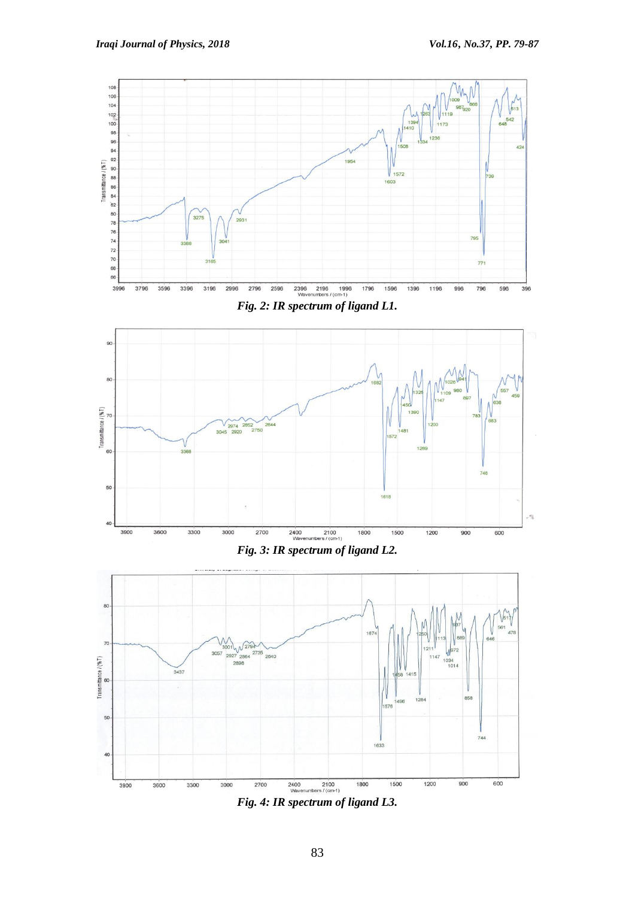





*Fig. 4: IR spectrum of ligand L3.*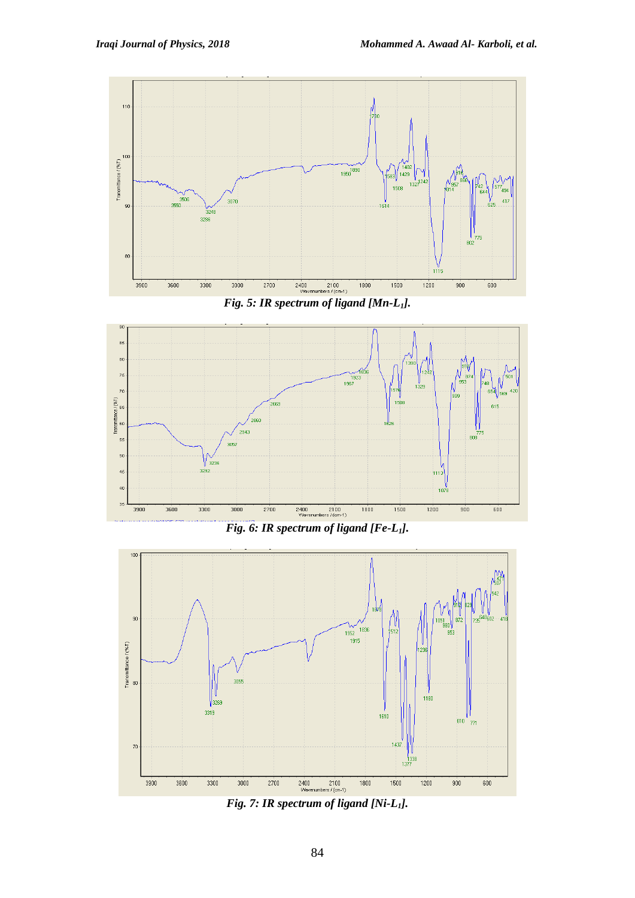

*Fig. 5: IR spectrum of ligand [Mn-L1].*



*Fig. 6: IR spectrum of ligand [Fe-L1].*



*Fig. 7: IR spectrum of ligand [Ni-L1].*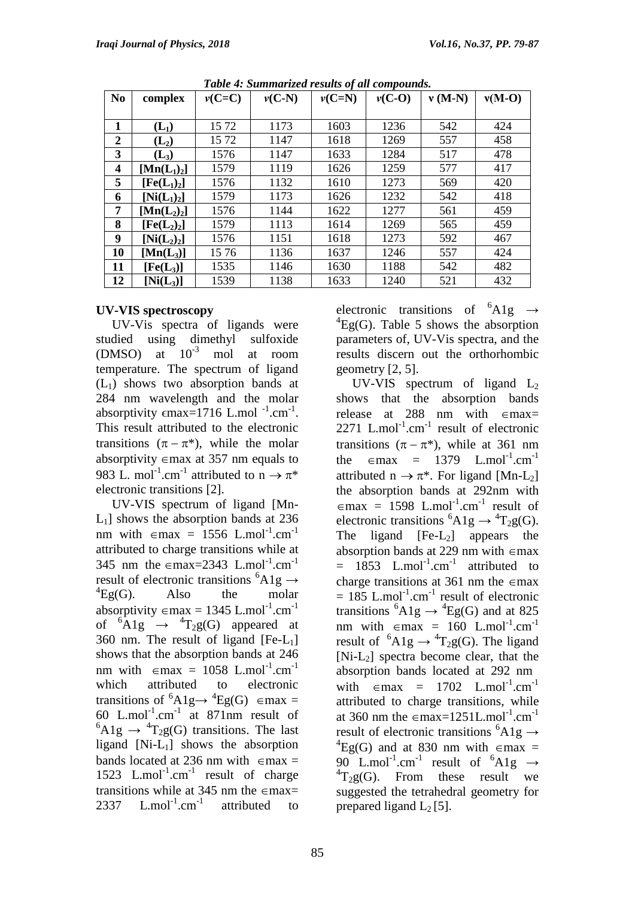| N <sub>0</sub> | complex                             | $v(C=C)$ | $v(C-N)$ | $v(C=N)$ | $v(C-O)$ | $v(M-N)$ | $v(M-O)$ |
|----------------|-------------------------------------|----------|----------|----------|----------|----------|----------|
|                |                                     |          |          |          |          |          |          |
| 1              | $(L_1)$                             | 15 72    | 1173     | 1603     | 1236     | 542      | 424      |
| $\overline{2}$ | $(L_2)$                             | 1572     | 1147     | 1618     | 1269     | 557      | 458      |
| 3              | $(L_3)$                             | 1576     | 1147     | 1633     | 1284     | 517      | 478      |
| 4              | $[\mathbf{Mn}(\mathbf{L}_1)_2]$     | 1579     | 1119     | 1626     | 1259     | 577      | 417      |
| 5              | [Fe(L <sub>1</sub> ) <sub>2</sub> ] | 1576     | 1132     | 1610     | 1273     | 569      | 420      |
| 6              | $[Ni(L_1)_2]$                       | 1579     | 1173     | 1626     | 1232     | 542      | 418      |
| 7              | $[\text{Mn}(L_2)_2]$                | 1576     | 1144     | 1622     | 1277     | 561      | 459      |
| 8              | [Fe(L <sub>2</sub> ) <sub>2</sub> ] | 1579     | 1113     | 1614     | 1269     | 565      | 459      |
| 9              | $[Ni(L_2)_2]$                       | 1576     | 1151     | 1618     | 1273     | 592      | 467      |
| 10             | $[Min(L_3)]$                        | 1576     | 1136     | 1637     | 1246     | 557      | 424      |
| 11             | $[Fe(L_3)]$                         | 1535     | 1146     | 1630     | 1188     | 542      | 482      |
| 12             | $[Ni(L_3)]$                         | 1539     | 1138     | 1633     | 1240     | 521      | 432      |

*Table 4: Summarized results of all compounds.*

### **UV-VIS spectroscopy**

 UV-Vis spectra of ligands were studied using dimethyl sulfoxide (DMSO) at  $10^{-3}$  mol at room temperature. The spectrum of ligand  $(L<sub>1</sub>)$  shows two absorption bands at 284 nm wavelength and the molar absorptivity  $\epsilon$ max=1716 L.mol<sup>-1</sup>.cm<sup>-1</sup>. This result attributed to the electronic transitions  $(\pi - \pi^*)$ , while the molar absorptivity  $\epsilon$  max at 357 nm equals to 983 L. mol<sup>-1</sup>.cm<sup>-1</sup> attributed to  $n \to \pi^*$ electronic transitions [2].

 UV-VIS spectrum of ligand [Mn- $L_1$ ] shows the absorption bands at 236 nm with  $\epsilon$ max = 1556 L.mol<sup>-1</sup>.cm<sup>-1</sup> attributed to charge transitions while at 345 nm the  $\epsilon$ max=2343 L.mol<sup>-1</sup>.cm<sup>-1</sup> result of electronic transitions  ${}^{6}$ A1g  $\rightarrow$  ${}^{4}Eg(G)$ . Also the molar absorptivity  $\epsilon$ max = 1345 L.mol<sup>-1</sup>.cm<sup>-1</sup> of  ${}^{6}\text{Alg}$   $\rightarrow$   ${}^{4}\text{T}_{2}g(G)$  appeared at 360 nm. The result of ligand  $[Fe-L_1]$ shows that the absorption bands at 246 nm with  $\epsilon$ max = 1058 L.mol<sup>-1</sup>.cm<sup>-1</sup> which attributed to electronic transitions of  ${}^{6}A1g \rightarrow {}^{4}Eg(G)$   $\in$  max = 60 L.mol<sup>-1</sup>.cm<sup>-1</sup> at 871nm result of  ${}^6\text{Alg} \rightarrow {}^4\text{T}_2$ g(G) transitions. The last ligand  $[Ni-L_1]$  shows the absorption bands located at 236 nm with  $\epsilon$ max = 1523 L.mol<sup>-1</sup>.cm<sup>-1</sup> result of charge transitions while at 345 nm the  $\epsilon$ max= 2337  $L/mol^{-1}$ .cm<sup>-1</sup> attributed to electronic transitions of  ${}^{6}$ A1g  $\rightarrow$  ${}^{4}Eq(G)$ . Table 5 shows the absorption parameters of, UV-Vis spectra, and the results discern out the orthorhombic geometry [2, 5].

UV-VIS spectrum of ligand  $L_2$ shows that the absorption bands release at 288 nm with  $\epsilon$ max=  $2271$  L.mol<sup>-1</sup>.cm<sup>-1</sup> result of electronic transitions  $(\pi - \pi^*)$ , while at 361 nm the  $\epsilon$ max = 1379 L.mol<sup>-1</sup>.cm<sup>-1</sup> attributed  $n \rightarrow \pi^*$ . For ligand [Mn-L<sub>2</sub>] the absorption bands at 292nm with  $\epsilon$ max = 1598 L.mol<sup>-1</sup>.cm<sup>-1</sup> result of electronic transitions  ${}^{6}A1g \rightarrow {}^{4}T_{2}g(G)$ . The ligand  $[Fe-L_2]$  appears the absorption bands at 229 nm with  $\epsilon$ max  $=$  1853 L.mol<sup>-1</sup>.cm<sup>-1</sup> attributed to charge transitions at 361 nm the  $\epsilon$ max  $= 185$  L.mol<sup>-1</sup>.cm<sup>-1</sup> result of electronic transitions  ${}^{6}A1g \rightarrow {}^{4}Eg(G)$  and at 825 nm with  $\epsilon$ max = 160 L.mol<sup>-1</sup>.cm<sup>-1</sup> result of  ${}^{6}Alg \rightarrow {}^{4}T_2g(G)$ . The ligand  $[Ni-L_2]$  spectra become clear, that the absorption bands located at 292 nm with  $\epsilon$ max = 1702 L.mol<sup>-1</sup>.cm<sup>-1</sup> attributed to charge transitions, while at 360 nm the  $\epsilon$ max=1251L.mol<sup>-1</sup>.cm<sup>-1</sup> result of electronic transitions  ${}^{6}A1g \rightarrow$ <sup>4</sup>Eg(G) and at 830 nm with  $\epsilon$ max = 90 L.mol<sup>-1</sup>.cm<sup>-1</sup> result of  ${}^{6}$ A1g  $\rightarrow$  ${}^{4}T_{2}g(G)$ . From these result we suggested the tetrahedral geometry for prepared ligand  $L_2$  [5].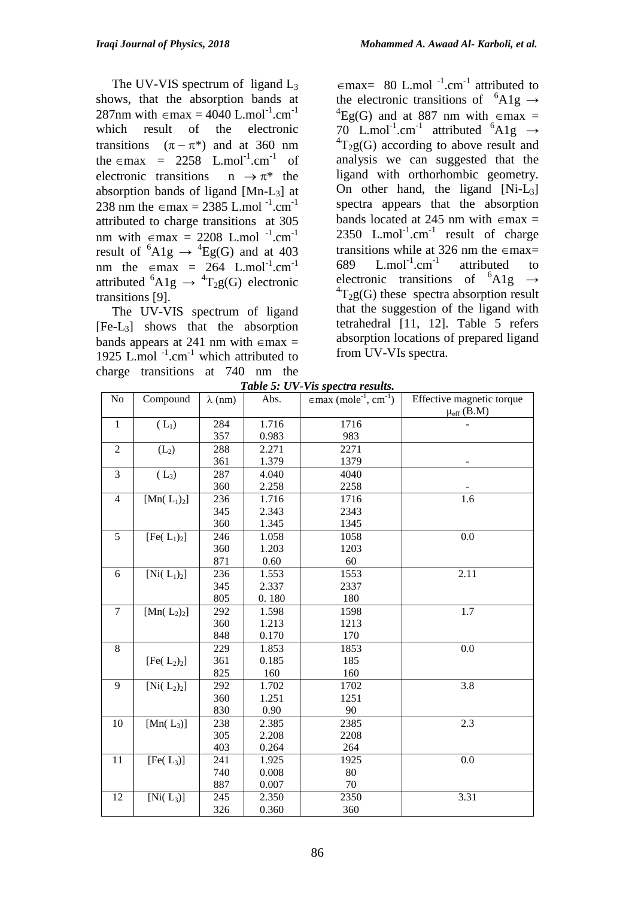The UV-VIS spectrum of ligand  $L_3$ shows, that the absorption bands at 287nm with  $\epsilon$ max = 4040 L.mol<sup>-1</sup>.cm<sup>-1</sup> which result of the electronic transitions  $(\pi - \pi^*)$  and at 360 nm the  $\epsilon$ max = 2258 L.mol<sup>-1</sup>.cm<sup>-1</sup> of electronic transitions  $n \rightarrow \pi^*$  the absorption bands of ligand [Mn-L3] at 238 nm the  $\epsilon$ max = 2385 L.mol<sup>-1</sup>.cm<sup>-1</sup> attributed to charge transitions at 305 nm with  $\epsilon$ max = 2208 L.mol<sup>-1</sup>.cm<sup>-1</sup> result of  ${}^{6}$ A1g  $\rightarrow {}^{4}$ Eg(G) and at 403 nm the  $\epsilon$ max = 264 L.mol<sup>-1</sup>.cm<sup>-1</sup> attributed  ${}^{6}A1g \rightarrow {}^{4}T_2g(G)$  electronic transitions [9].

 The UV-VIS spectrum of ligand [Fe-L3] shows that the absorption bands appears at 241 nm with  $\epsilon$ max = 1925 L.mol $^{-1}$ .cm $^{-1}$  which attributed to charge transitions at 740 nm the<br> $Table 5: IIV$   $\epsilon$ max= 80 L.mol<sup>-1</sup>.cm<sup>-1</sup> attributed to the electronic transitions of  ${}^{6}$ A1g  $\rightarrow$ <sup>4</sup>Eg(G) and at 887 nm with  $\epsilon$ max = 70 L.mol<sup>-1</sup>.cm<sup>-1</sup> attributed  ${}^{6}$ A1g  $\rightarrow$  ${}^{4}T_{2}g(G)$  according to above result and analysis we can suggested that the ligand with orthorhombic geometry. On other hand, the ligand  $[Ni-L_3]$ spectra appears that the absorption bands located at 245 nm with  $\epsilon$ max = 2350 L.mol<sup>-1</sup>.cm<sup>-1</sup> result of charge transitions while at 326 nm the  $\epsilon$ max= 689  $L.mol^{-1}.cm^{-1}$ attributed to electronic transitions of  ${}^{6}$ A1g  $\rightarrow$  ${}^{4}T_{2}g(G)$  these spectra absorption result that the suggestion of the ligand with tetrahedral [11, 12]. Table 5 refers absorption locations of prepared ligand from UV-VIs spectra.

|  | Table 5: UV-Vis spectra results. |  |
|--|----------------------------------|--|
|  |                                  |  |

| No             | Compound                            | $\lambda$ (nm) | 1 avrt J. C 1<br>Abs. | r is specific results.<br>$\in$ max (mole <sup>-1</sup> , cm <sup>-1</sup> ) | Effective magnetic torque |
|----------------|-------------------------------------|----------------|-----------------------|------------------------------------------------------------------------------|---------------------------|
|                |                                     |                |                       |                                                                              | $\mu_{eff}$ (B.M)         |
| $\mathbf{1}$   | $(L_1)$                             | 284            | 1.716                 | 1716                                                                         |                           |
|                |                                     | 357            | 0.983                 | 983                                                                          |                           |
| $\overline{2}$ | (L <sub>2</sub> )                   | 288            | 2.271                 | 2271                                                                         |                           |
|                |                                     | 361            | 1.379                 | 1379                                                                         |                           |
| 3              | $(L_3)$                             | 287            | 4.040                 | 4040                                                                         |                           |
|                |                                     | 360            | 2.258                 | 2258                                                                         |                           |
| $\overline{4}$ | [ $Mn(L_1)_2$ ]                     | 236            | 1.716                 | 1716                                                                         | 1.6                       |
|                |                                     | 345            | 2.343                 | 2343                                                                         |                           |
|                |                                     | 360            | 1.345                 | 1345                                                                         |                           |
| 5              | [Fe(L <sub>1</sub> ) <sub>2</sub> ] | 246            | 1.058                 | 1058                                                                         | 0.0                       |
|                |                                     | 360            | 1.203                 | 1203                                                                         |                           |
|                |                                     | 871            | 0.60                  | 60                                                                           |                           |
| 6              | $[Ni(L_1)_2]$                       | 236            | 1.553                 | 1553                                                                         | 2.11                      |
|                |                                     | 345            | 2.337                 | 2337                                                                         |                           |
|                |                                     | 805            | 0.180                 | 180                                                                          |                           |
| $\overline{7}$ | [ $Mn(L_2)_2$ ]                     | 292            | 1.598                 | 1598                                                                         | $\overline{1.7}$          |
|                |                                     | 360            | 1.213                 | 1213                                                                         |                           |
|                |                                     | 848            | 0.170                 | 170                                                                          |                           |
| $\,8\,$        |                                     | 229            | 1.853                 | 1853                                                                         | 0.0                       |
|                | [Fe(L <sub>2</sub> ) <sub>2</sub> ] | 361            | 0.185                 | 185                                                                          |                           |
|                |                                     | 825            | 160                   | 160                                                                          |                           |
| 9              | $\overline{[Ni(L_2)_2]}$            | 292            | 1.702                 | 1702                                                                         | $\overline{3.8}$          |
|                |                                     | 360            | 1.251                 | 1251                                                                         |                           |
|                |                                     | 830            | 0.90                  | 90                                                                           |                           |
| 10             | [ $Mn(L_3)$ ]                       | 238            | 2.385                 | 2385                                                                         | 2.3                       |
|                |                                     | 305            | 2.208                 | 2208                                                                         |                           |
|                |                                     | 403            | 0.264                 | 264                                                                          |                           |
| 11             | [Fe(L <sub>3</sub> )]               | 241            | 1.925                 | 1925                                                                         | 0.0                       |
|                |                                     | 740            | 0.008                 | 80                                                                           |                           |
|                |                                     | 887            | 0.007                 | 70                                                                           |                           |
| 12             | $[Ni(L_3)]$                         | 245            | 2.350                 | 2350                                                                         | 3.31                      |
|                |                                     | 326            | 0.360                 | 360                                                                          |                           |